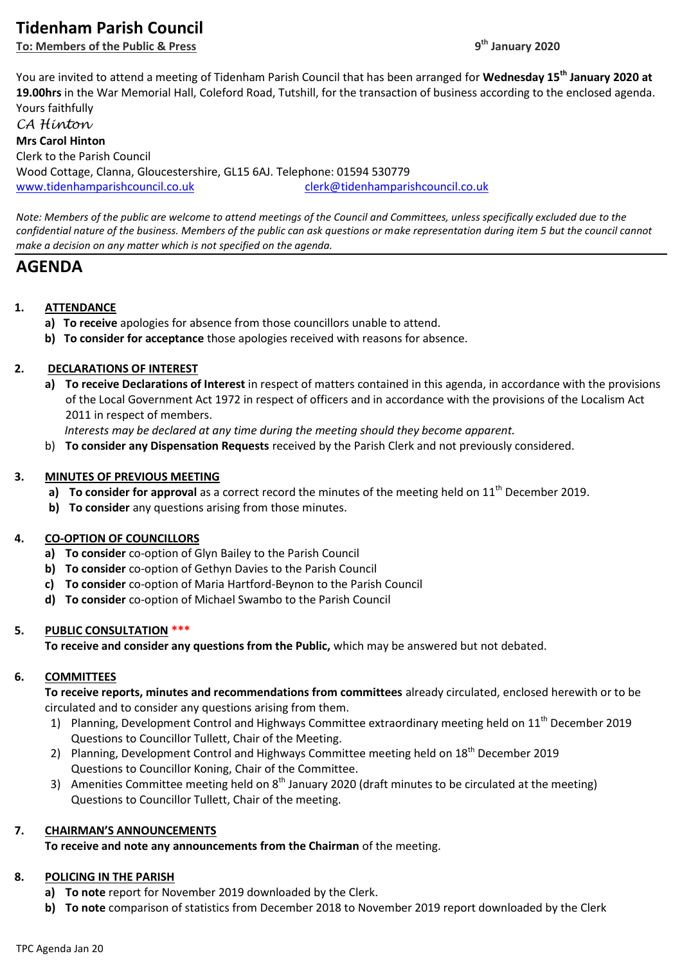# **Tidenham Parish Council**

**To: Members of the Public & Press 9**

You are invited to attend a meeting of Tidenham Parish Council that has been arranged for **Wednesday 15th January 2020 at 19.00hrs** in the War Memorial Hall, Coleford Road, Tutshill, for the transaction of business according to the enclosed agenda. Yours faithfully

*CA Hinton* **Mrs Carol Hinton** Clerk to the Parish Council Wood Cottage, Clanna, Gloucestershire, GL15 6AJ. Telephone: 01594 530779 [www.tidenhamparishcouncil.co.uk](http://www.tidenhamparishcouncil.co.uk/) [clerk@tidenhamparishcouncil.co.uk](mailto:clerk@tidenhamparishcouncil.co.uk)

*Note: Members of the public are welcome to attend meetings of the Council and Committees, unless specifically excluded due to the confidential nature of the business. Members of the public can ask questions or make representation during item 5 but the council cannot make a decision on any matter which is not specified on the agenda.*

# **AGENDA**

# **1. ATTENDANCE**

- **a) To receive** apologies for absence from those councillors unable to attend.
- **b) To consider for acceptance** those apologies received with reasons for absence.

# **2. DECLARATIONS OF INTEREST**

- **a) To receive Declarations of Interest** in respect of matters contained in this agenda, in accordance with the provisions of the Local Government Act 1972 in respect of officers and in accordance with the provisions of the Localism Act 2011 in respect of members.
	- *Interests may be declared at any time during the meeting should they become apparent.*
- b) **To consider any Dispensation Requests** received by the Parish Clerk and not previously considered.

# **3. MINUTES OF PREVIOUS MEETING**

- **a) To consider for approval** as a correct record the minutes of the meeting held on 11<sup>th</sup> December 2019.
- **b) To consider** any questions arising from those minutes.

# **4. CO-OPTION OF COUNCILLORS**

- **a) To consider** co-option of Glyn Bailey to the Parish Council
- **b) To consider** co-option of Gethyn Davies to the Parish Council
- **c) To consider** co-option of Maria Hartford-Beynon to the Parish Council
- **d) To consider** co-option of Michael Swambo to the Parish Council

# **5. PUBLIC CONSULTATION \*\*\***

**To receive and consider any questions from the Public,** which may be answered but not debated.

# **6. COMMITTEES**

**To receive reports, minutes and recommendations from committees** already circulated, enclosed herewith or to be circulated and to consider any questions arising from them.

- 1) Planning, Development Control and Highways Committee extraordinary meeting held on 11<sup>th</sup> December 2019 Questions to Councillor Tullett, Chair of the Meeting.
- 2) Planning, Development Control and Highways Committee meeting held on 18<sup>th</sup> December 2019 Questions to Councillor Koning, Chair of the Committee.
- 3) Amenities Committee meeting held on  $8<sup>th</sup>$  January 2020 (draft minutes to be circulated at the meeting) Questions to Councillor Tullett, Chair of the meeting.

# **7. CHAIRMAN'S ANNOUNCEMENTS**

**To receive and note any announcements from the Chairman** of the meeting.

#### **8. POLICING IN THE PARISH**

- **a) To note** report for November 2019 downloaded by the Clerk.
- **b) To note** comparison of statistics from December 2018 to November 2019 report downloaded by the Clerk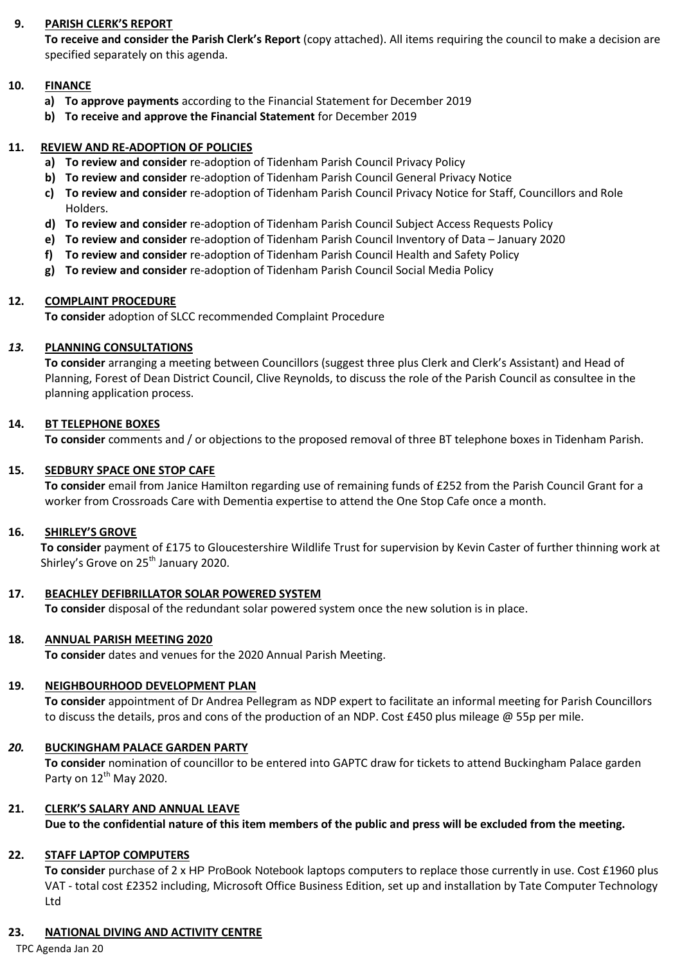## **9. PARISH CLERK'S REPORT**

**To receive and consider the Parish Clerk's Report** (copy attached). All items requiring the council to make a decision are specified separately on this agenda.

## **10. FINANCE**

- **a) To approve payments** according to the Financial Statement for December 2019
- **b) To receive and approve the Financial Statement** for December 2019

#### **11. REVIEW AND RE-ADOPTION OF POLICIES**

- **a) To review and consider** re-adoption of Tidenham Parish Council Privacy Policy
- **b) To review and consider** re-adoption of Tidenham Parish Council General Privacy Notice
- **c) To review and consider** re-adoption of Tidenham Parish Council Privacy Notice for Staff, Councillors and Role Holders.
- **d) To review and consider** re-adoption of Tidenham Parish Council Subject Access Requests Policy
- **e) To review and consider** re-adoption of Tidenham Parish Council Inventory of Data January 2020
- **f) To review and consider** re-adoption of Tidenham Parish Council Health and Safety Policy
- **g) To review and consider** re-adoption of Tidenham Parish Council Social Media Policy

#### **12. COMPLAINT PROCEDURE**

**To consider** adoption of SLCC recommended Complaint Procedure

#### *13.* **PLANNING CONSULTATIONS**

**To consider** arranging a meeting between Councillors (suggest three plus Clerk and Clerk's Assistant) and Head of Planning, Forest of Dean District Council, Clive Reynolds, to discuss the role of the Parish Council as consultee in the planning application process.

#### **14. BT TELEPHONE BOXES**

**To consider** comments and / or objections to the proposed removal of three BT telephone boxes in Tidenham Parish.

#### **15. SEDBURY SPACE ONE STOP CAFE**

**To consider** email from Janice Hamilton regarding use of remaining funds of £252 from the Parish Council Grant for a worker from Crossroads Care with Dementia expertise to attend the One Stop Cafe once a month.

#### **16. SHIRLEY'S GROVE**

**To consider** payment of £175 to Gloucestershire Wildlife Trust for supervision by Kevin Caster of further thinning work at Shirley's Grove on 25<sup>th</sup> January 2020.

#### **17. BEACHLEY DEFIBRILLATOR SOLAR POWERED SYSTEM**

**To consider** disposal of the redundant solar powered system once the new solution is in place.

#### **18. ANNUAL PARISH MEETING 2020**

**To consider** dates and venues for the 2020 Annual Parish Meeting.

# **19. NEIGHBOURHOOD DEVELOPMENT PLAN**

**To consider** appointment of Dr Andrea Pellegram as NDP expert to facilitate an informal meeting for Parish Councillors to discuss the details, pros and cons of the production of an NDP. Cost £450 plus mileage @ 55p per mile.

#### *20.* **BUCKINGHAM PALACE GARDEN PARTY**

**To consider** nomination of councillor to be entered into GAPTC draw for tickets to attend Buckingham Palace garden Party on  $12^{th}$  May 2020.

# **21. CLERK'S SALARY AND ANNUAL LEAVE**

**Due to the confidential nature of this item members of the public and press will be excluded from the meeting.**

#### **22. STAFF LAPTOP COMPUTERS**

**To consider** purchase of 2 x HP ProBook Notebook laptops computers to replace those currently in use. Cost £1960 plus VAT - total cost £2352 including, Microsoft Office Business Edition, set up and installation by Tate Computer Technology Ltd

#### **23. NATIONAL DIVING AND ACTIVITY CENTRE**

TPC Agenda Jan 20